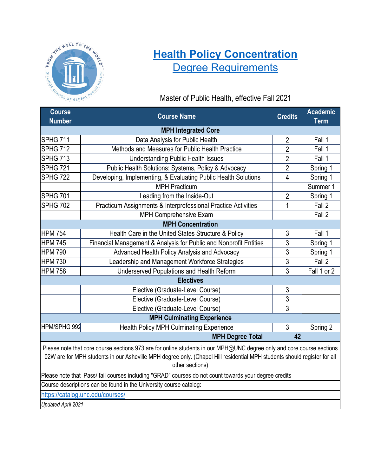

# **[Health Policy Con](https://sph.unc.edu/resource-pages/master-of-public-health/health-policy-concentration/)centration** [Degree Requirement](https://sph.unc.edu/resource-pages/master-of-public-health/health-policy-concentration/)s

### Master of Public Health, effective Fall 2021

| <b>Course</b><br><b>Number</b>                                                                                                                                                                                                                                       | <b>Course Name</b>                                                | <b>Credits</b> | <b>Academic</b><br><b>Term</b> |  |  |  |
|----------------------------------------------------------------------------------------------------------------------------------------------------------------------------------------------------------------------------------------------------------------------|-------------------------------------------------------------------|----------------|--------------------------------|--|--|--|
|                                                                                                                                                                                                                                                                      | <b>MPH Integrated Core</b>                                        |                |                                |  |  |  |
| <b>SPHG 711</b>                                                                                                                                                                                                                                                      | Data Analysis for Public Health                                   | $\overline{2}$ | Fall 1                         |  |  |  |
| <b>SPHG 712</b>                                                                                                                                                                                                                                                      | Methods and Measures for Public Health Practice                   | $\overline{2}$ | Fall 1                         |  |  |  |
| <b>SPHG 713</b>                                                                                                                                                                                                                                                      | <b>Understanding Public Health Issues</b>                         | $\overline{2}$ | Fall 1                         |  |  |  |
| <b>SPHG 721</b>                                                                                                                                                                                                                                                      | Public Health Solutions: Systems, Policy & Advocacy               | $\overline{2}$ | Spring 1                       |  |  |  |
| <b>SPHG 722</b>                                                                                                                                                                                                                                                      | Developing, Implementing, & Evaluating Public Health Solutions    | $\overline{4}$ | Spring 1                       |  |  |  |
|                                                                                                                                                                                                                                                                      | <b>MPH Practicum</b>                                              |                | Summer 1                       |  |  |  |
| <b>SPHG 701</b>                                                                                                                                                                                                                                                      | Leading from the Inside-Out                                       | $\overline{2}$ | Spring 1                       |  |  |  |
| <b>SPHG 702</b>                                                                                                                                                                                                                                                      | Practicum Assignments & Interprofessional Practice Activities     | 1              | Fall 2                         |  |  |  |
|                                                                                                                                                                                                                                                                      | <b>MPH Comprehensive Exam</b>                                     |                | Fall 2                         |  |  |  |
|                                                                                                                                                                                                                                                                      | <b>MPH Concentration</b>                                          |                |                                |  |  |  |
| <b>HPM 754</b>                                                                                                                                                                                                                                                       | Health Care in the United States Structure & Policy               | 3              | Fall 1                         |  |  |  |
| <b>HPM 745</b>                                                                                                                                                                                                                                                       | Financial Management & Analysis for Public and Nonprofit Entities | 3              | Spring 1                       |  |  |  |
| <b>HPM 790</b>                                                                                                                                                                                                                                                       | Advanced Health Policy Analysis and Advocacy                      | $\overline{3}$ | Spring 1                       |  |  |  |
| <b>HPM 730</b>                                                                                                                                                                                                                                                       | Leadership and Management Workforce Strategies                    | $\overline{3}$ | Fall 2                         |  |  |  |
| <b>HPM 758</b>                                                                                                                                                                                                                                                       | Underserved Populations and Health Reform                         | $\overline{3}$ | Fall 1 or 2                    |  |  |  |
|                                                                                                                                                                                                                                                                      | <b>Electives</b>                                                  |                |                                |  |  |  |
|                                                                                                                                                                                                                                                                      | Elective (Graduate-Level Course)                                  | 3              |                                |  |  |  |
|                                                                                                                                                                                                                                                                      | Elective (Graduate-Level Course)                                  | $\overline{3}$ |                                |  |  |  |
|                                                                                                                                                                                                                                                                      | Elective (Graduate-Level Course)                                  | 3              |                                |  |  |  |
|                                                                                                                                                                                                                                                                      | <b>MPH Culminating Experience</b>                                 |                |                                |  |  |  |
| HPM/SPHG 992                                                                                                                                                                                                                                                         | <b>Health Policy MPH Culminating Experience</b>                   | $\mathfrak{3}$ | Spring 2                       |  |  |  |
|                                                                                                                                                                                                                                                                      | <b>MPH Degree Total</b>                                           | 42             |                                |  |  |  |
| Please note that core course sections 973 are for online students in our MPH@UNC degree only and core course sections<br>02W are for MPH students in our Asheville MPH degree only. (Chapel Hill residential MPH students should register for all<br>other sections) |                                                                   |                |                                |  |  |  |
| Please note that Pass/ fail courses including "GRAD" courses do not count towards your degree credits                                                                                                                                                                |                                                                   |                |                                |  |  |  |
| Course descriptions can be found in the University course catalog:                                                                                                                                                                                                   |                                                                   |                |                                |  |  |  |
| https://catalog.unc.edu/courses/                                                                                                                                                                                                                                     |                                                                   |                |                                |  |  |  |
| <b>Updated April 2021</b>                                                                                                                                                                                                                                            |                                                                   |                |                                |  |  |  |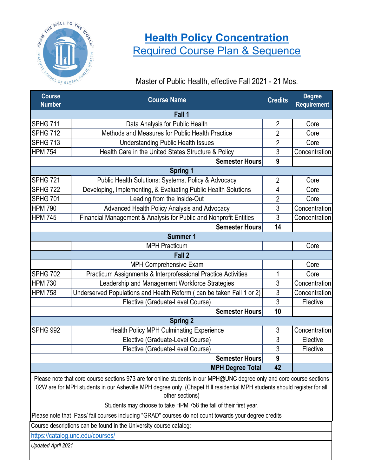

## **[Health Policy Concentr](https://sph.unc.edu/resource-pages/master-of-public-health/health-policy-concentration/)ation** Required Course Plan & Sequence

Master of Public Health, effective Fall 2021 - 21 Mos.

| <b>Course</b><br><b>Number</b>                                                                                        | <b>Course Name</b>                                                   | <b>Credits</b>   | <b>Degree</b><br><b>Requirement</b> |  |
|-----------------------------------------------------------------------------------------------------------------------|----------------------------------------------------------------------|------------------|-------------------------------------|--|
|                                                                                                                       | Fall 1                                                               |                  |                                     |  |
| SPHG 711                                                                                                              | Data Analysis for Public Health                                      | $\overline{2}$   | Core                                |  |
| <b>SPHG 712</b>                                                                                                       | Methods and Measures for Public Health Practice                      | $\overline{2}$   | Core                                |  |
| SPHG 713                                                                                                              | <b>Understanding Public Health Issues</b>                            | $\overline{2}$   | Core                                |  |
| <b>HPM 754</b>                                                                                                        | Health Care in the United States Structure & Policy                  | 3                | Concentration                       |  |
|                                                                                                                       | <b>Semester Hours</b>                                                | $\boldsymbol{9}$ |                                     |  |
|                                                                                                                       | <b>Spring 1</b>                                                      |                  |                                     |  |
| <b>SPHG 721</b>                                                                                                       | Public Health Solutions: Systems, Policy & Advocacy                  | $\overline{2}$   | Core                                |  |
| <b>SPHG 722</b>                                                                                                       | Developing, Implementing, & Evaluating Public Health Solutions       | 4                | Core                                |  |
| <b>SPHG 701</b>                                                                                                       | Leading from the Inside-Out                                          | $\overline{2}$   | Core                                |  |
| <b>HPM 790</b>                                                                                                        | Advanced Health Policy Analysis and Advocacy                         | 3                | Concentration                       |  |
| <b>HPM 745</b>                                                                                                        | Financial Management & Analysis for Public and Nonprofit Entities    | $\overline{3}$   | Concentration                       |  |
|                                                                                                                       | <b>Semester Hours</b>                                                | 14               |                                     |  |
| <b>Summer 1</b>                                                                                                       |                                                                      |                  |                                     |  |
|                                                                                                                       | <b>MPH Practicum</b>                                                 |                  | Core                                |  |
| Fall 2                                                                                                                |                                                                      |                  |                                     |  |
|                                                                                                                       | MPH Comprehensive Exam                                               |                  | Core                                |  |
| <b>SPHG 702</b>                                                                                                       | Practicum Assignments & Interprofessional Practice Activities        | 1                | Core                                |  |
| <b>HPM 730</b>                                                                                                        | Leadership and Management Workforce Strategies                       | $\overline{3}$   | Concentration                       |  |
| <b>HPM 758</b>                                                                                                        | Underserved Populations and Health Reform (can be taken Fall 1 or 2) | $\overline{3}$   | Concentration                       |  |
|                                                                                                                       | Elective (Graduate-Level Course)                                     | $\overline{3}$   | Elective                            |  |
|                                                                                                                       | <b>Semester Hours</b>                                                | 10               |                                     |  |
|                                                                                                                       | <b>Spring 2</b>                                                      |                  |                                     |  |
| <b>SPHG 992</b>                                                                                                       | <b>Health Policy MPH Culminating Experience</b>                      | 3                | Concentration                       |  |
|                                                                                                                       | Elective (Graduate-Level Course)                                     | 3                | Elective                            |  |
|                                                                                                                       | Elective (Graduate-Level Course)                                     | 3                | Elective                            |  |
|                                                                                                                       | <b>Semester Hours</b>                                                | 9                |                                     |  |
|                                                                                                                       | <b>MPH Degree Total</b>                                              | 42               |                                     |  |
| Please note that core course sections 973 are for online students in our MPH@UNC degree only and core course sections |                                                                      |                  |                                     |  |

online students in our MPH@UNC degree only 02W are for MPH students in our Asheville MPH degree only. (Chapel Hill residential MPH students should register for all other sections)

Students may choose to take HPM 758 the fall of their first year.

Please note that Pass/ fail courses including "GRAD" courses do not count towards your degree credits

Course descriptions can be found in the University course catalog:

https://catalog.unc.edu/courses/

*Updated April 2021*